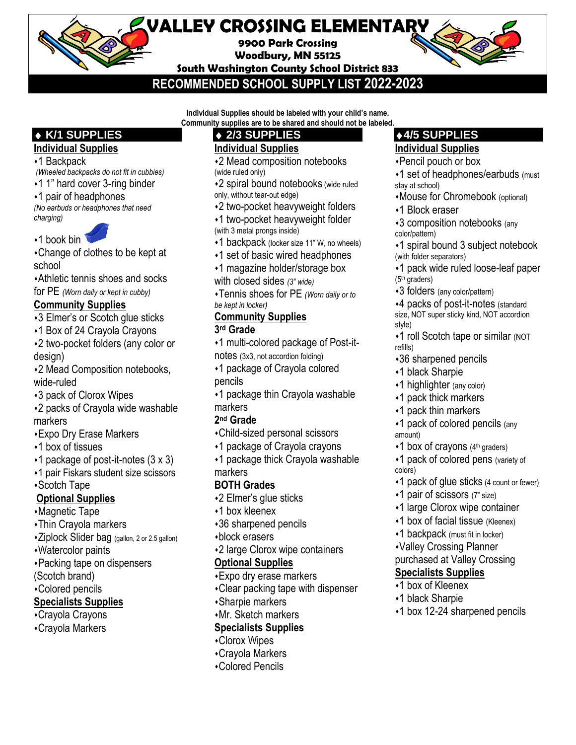# **VALLEY CROSSING ELEMENTARY**

**9900 Park Crossing Woodbury, MN 55125**

**South Washington County School District 833**

**RECOMMENDED SCHOOL SUPPLY LIST 2022-2023**

**Individual Supplies should be labeled with your child's name. Community supplies are to be shared and should not be labeled.** 

## **K/1 SUPPLIES**

## **Individual Supplies**

- ⬧1 Backpack
- *(Wheeled backpacks do not fit in cubbies)*
- ⬧1 1" hard cover 3-ring binder
- ⬧1 pair of headphones

*(No earbuds or headphones that need charging)*

◆1 book bin

⬧Change of clothes to be kept at school

⬧Athletic tennis shoes and socks

for PE *(Worn daily or kept in cubby)*

## **Community Supplies**

- ⬧3 Elmer's or Scotch glue sticks
- ⬧1 Box of 24 Crayola Crayons
- ⬧2 two-pocket folders (any color or design)

⬧2 Mead Composition notebooks, wide-ruled

- ⬧3 pack of Clorox Wipes
- ⬧2 packs of Crayola wide washable markers
- ⬧Expo Dry Erase Markers
- ⬧1 box of tissues
- $\cdot$ 1 package of post-it-notes (3 x 3)
- ⬧1 pair Fiskars student size scissors
- ⬧Scotch Tape

## **Optional Supplies**

- ⬧Magnetic Tape
- ⬧Thin Crayola markers
- ⬧Ziplock Slider bag (gallon, 2 or 2.5 gallon)

⬧Watercolor paints

- ⬧Packing tape on dispensers
- (Scotch brand)
- ⬧Colored pencils

## **Specialists Supplies**

- ⬧Crayola Crayons
- ⬧Crayola Markers
- **2/3 SUPPLIES Individual Supplies**
- ⬧2 Mead composition notebooks (wide ruled only)
- ⬧2 spiral bound notebooks (wide ruled only, without tear-out edge)
- ⬧2 two-pocket heavyweight folders
- ⬧1 two-pocket heavyweight folder (with 3 metal prongs inside)
- •1 backpack (locker size 11" W, no wheels)
- ⬧1 set of basic wired headphones
- ⬧1 magazine holder/storage box
- with closed sides *(3" wide)*
- ⬧Tennis shoes for PE *(Worn daily or to be kept in locker)*

## **Community Supplies**

#### **3 rd Grade**

- ⬧1 multi-colored package of Post-itnotes (3x3, not accordion folding)
- ⬧1 package of Crayola colored pencils
- ⬧1 package thin Crayola washable markers

#### **2 nd Grade**

- ⬧Child-sized personal scissors
- ⬧1 package of Crayola crayons
- ⬧1 package thick Crayola washable markers

## **BOTH Grades**

- ⬧2 Elmer's glue sticks
- ⬧1 box kleenex
- ⬧36 sharpened pencils
- ⬧block erasers
- ⬧2 large Clorox wipe containers

### **Optional Supplies**

- ⬧Expo dry erase markers
- ⬧Clear packing tape with dispenser
- ⬧Sharpie markers
- ⬧Mr. Sketch markers

## **Specialists Supplies**

- ⬧Clorox Wipes
- ⬧Crayola Markers
- ⬧Colored Pencils

## **4/5 SUPPLIES**

#### **Individual Supplies**

- ⬧Pencil pouch or box
- ⬧1 set of headphones/earbuds (must stay at school)
- ⬧Mouse for Chromebook (optional)
- ⬧1 Block eraser
- ⬧3 composition notebooks (any color/pattern)
- ⬧1 spiral bound 3 subject notebook (with folder separators)
- ⬧1 pack wide ruled loose-leaf paper  $(5<sup>th</sup>$  graders)
- ⬧3 folders (any color/pattern)

⬧4 packs of post-it-notes (standard size, NOT super sticky kind, NOT accordion style)

- ⬧1 roll Scotch tape or similar (NOT refills)
- ⬧36 sharpened pencils
- ⬧1 black Sharpie
- ◆1 highlighter (any color)
- ⬧1 pack thick markers
- ⬧1 pack thin markers
- •1 pack of colored pencils (any amount)
- $*1$  box of crayons (4<sup>th</sup> graders)
- ⬧1 pack of colored pens (variety of colors)
- ⬧1 pack of glue sticks (4 count or fewer)
- ⬧1 pair of scissors (7" size)
- ⬧1 large Clorox wipe container
- ⬧1 box of facial tissue (Kleenex)
- ⬧1 backpack (must fit in locker)
- ⬧Valley Crossing Planner

**Specialists Supplies** ⬧1 box of Kleenex ⬧1 black Sharpie

#### purchased at Valley Crossing

⬧1 box 12-24 sharpened pencils